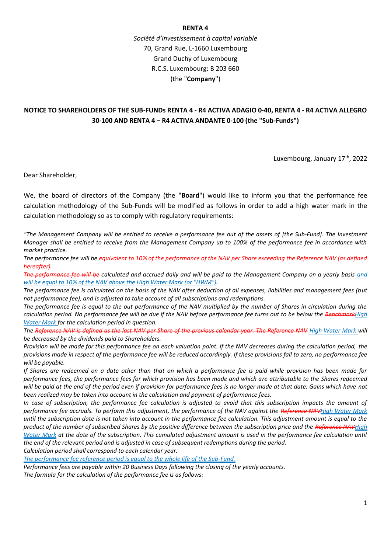## **RENTA 4**

*Société d'investissement à capital variable* 70, Grand Rue, L-1660 Luxembourg Grand Duchy of Luxembourg R.C.S. Luxembourg: B 203 660 (the "**Company**")

## **NOTICE TO SHAREHOLDERS OF THE SUB-FUNDs RENTA 4 - R4 ACTIVA ADAGIO 0-40, RENTA 4 - R4 ACTIVA ALLEGRO 30-100 AND RENTA 4 – R4 ACTIVA ANDANTE 0-100 (the "Sub-Funds")**

Luxembourg, January 17<sup>th</sup>, 2022

Dear Shareholder,

We, the board of directors of the Company (the "**Board**") would like to inform you that the performance fee calculation methodology of the Sub-Funds will be modified as follows in order to add a high water mark in the calculation methodology so as to comply with regulatory requirements:

*"The Management Company will be entitled to receive a performance fee out of the assets of [the Sub-Fund]. The Investment Manager shall be entitled to receive from the Management Company up to 100% of the performance fee in accordance with market practice.*

*The performance fee will be equivalent to 10% of the performance of the NAV per Share exceeding the Reference NAV (as defined hereafter).*

*The performance fee will be calculated and accrued daily and will be paid to the Management Company on a yearly basis and will be equal to 10% of the NAV above the High Water Mark (or "HWM").*

*The performance fee is calculated on the basis of the NAV after deduction of all expenses, liabilities and management fees (but not performance fee), and is adjusted to take account of all subscriptions and redemptions.*

*The performance fee is equal to the out performance of the NAV multiplied by the number of Shares in circulation during the calculation period. No performance fee will be due if the NAV before performance fee turns out to be below the BenchmarkHigh Water Mark for the calculation period in question.*

*The Reference NAV is defined as the last NAV per Share of the previous calendar year. The Reference NAV High Water Mark will be decreased by the dividends paid to Shareholders.*

*Provision will be made for this performance fee on each valuation point. If the NAV decreases during the calculation period, the provisions made in respect of the performance fee will be reduced accordingly. If these provisions fall to zero, no performance fee will be payable.*

*If Shares are redeemed on a date other than that on which a performance fee is paid while provision has been made for performance fees, the performance fees for which provision has been made and which are attributable to the Shares redeemed will be paid at the end of the period even if provision for performance fees is no longer made at that date. Gains which have not been realized may be taken into account in the calculation and payment of performance fees.*

*In case of subscription, the performance fee calculation is adjusted to avoid that this subscription impacts the amount of performance fee accruals. To perform this adjustment, the performance of the NAV against the Reference NAVHigh Water Mark until the subscription date is not taken into account in the performance fee calculation. This adjustment amount is equal to the product of the number of subscribed Shares by the positive difference between the subscription price and the Reference NAVHigh Water Mark at the date of the subscription. This cumulated adjustment amount is used in the performance fee calculation until the end of the relevant period and is adjusted in case of subsequent redemptions during the period.*

*Calculation period shall correspond to each calendar year.*

*The performance fee reference period is equal to the whole life of the Sub-Fund.*

*Performance fees are payable within 20 Business Days following the closing of the yearly accounts. The formula for the calculation of the performance fee is as follows:*